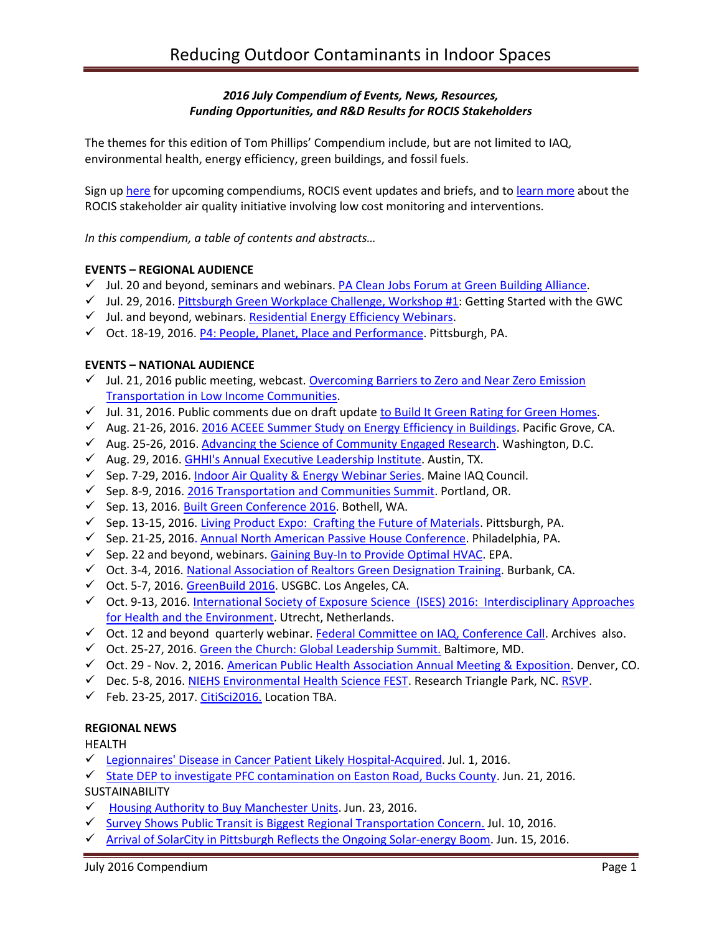# *2016 July Compendium of Events, News, Resources, Funding Opportunities, and R&D Results for ROCIS Stakeholders*

The themes for this edition of Tom Phillips' Compendium include, but are not limited to IAQ, environmental health, energy efficiency, green buildings, and fossil fuels.

Sign up [here](http://www.rocis.org/rocis-sign) for upcoming compendiums, ROCIS event updates and briefs, and to [learn more](http://rocis.org/rocis-low-cost-monitoring-project) about the ROCIS stakeholder air quality initiative involving low cost monitoring and interventions.

*In this compendium, a table of contents and abstracts…*

### **EVENTS – REGIONAL AUDIENCE**

- $\checkmark$  Jul. 20 and beyond, seminars and webinars. [PA Clean Jobs Forum at Green Building Alliance.](https://www.go-gba.org/events/pennsylvania-clean-jobs-forum/)
- $\checkmark$  Jul. 29, 2016. [Pittsburgh Green Workplace Challenge, Workshop #1:](http://gwcpgh.org/events-workshops/register-for-gwc-4-0-workshops) Getting Started with the GWC
- $\checkmark$  Jul. and beyond, webinars. [Residential Energy Efficiency Webinars.](http://pennenergycodes.com/)
- $\checkmark$  Oct. 18-19, 2016. [P4: People, Planet, Place and Performance.](http://www.p4pittsburgh.org/) Pittsburgh, PA.

### **EVENTS – NATIONAL AUDIENCE**

- $\checkmark$  Jul. 21, 2016 public meeting, webcast. Overcoming Barriers to Zero and Near Zero Emission [Transportation in Low Income Communities.](http://www.arb.ca.gov/board/ma/2016/ma072116.pdf)
- $\checkmark$  Jul. 31, 2016. Public comments due on draft update [to Build It Green Rating for Green Homes.](https://www.builditgreen.org/component/content/article?layout=edit&id=152)
- Aug. 21-26, 2016. [2016 ACEEE Summer Study on Energy Efficiency in Buildings.](http://aceee.org/conferences/2016/ssb) Pacific Grove, CA.
- $\checkmark$  Aug. 25-26, 2016. [Advancing the Science of Community Engaged Research.](https://vanderbilt.irisregistration.com/Home/Site?code=engagedresearch) Washington, D.C.
- Aug. 29, 2016[. GHHI's Annual Executive Leadership Institute.](file:///C:/Users/lwigington/AppData/Local/Microsoft/Windows/Temporary%20Internet%20Files/Content.Outlook/6GMOG2JG/GHHI) Austin, TX.
- $\checkmark$  Sep. 7-29, 2016[. Indoor Air Quality & Energy Webinar Series.](https://www.maineindoorair.org/september-second-chance-webinar-series) Maine IAQ Council.
- $\checkmark$  Sep. 8-9, 2016. [2016 Transportation and Communities Summit.](http://trec.pdx.edu/summit/speakers) Portland, OR.
- $\checkmark$  Sep. 13, 2016[. Built Green Conference 2016.](http://www.builtgreenconference.net/bgschedule/) Bothell, WA.
- Sep. 13-15, 2016. [Living Product Expo: Crafting the Future of Materials.](http://www.livingproductexpo.org/about/) Pittsburgh, PA.
- $\checkmark$  Sep. 21-25, 2016. Annual North American [Passive House Conference.](http://naphc2016.phius.org/) Philadelphia, PA.
- $\checkmark$  Sep. 22 and beyond, webinars. [Gaining Buy-In to Provide Optimal HVAC.](https://www.epa.gov/iaq-schools/iaq-knowledge-action-professional-training-webinar-series) EPA.
- Oct. 3-4, 2016. [National Association of Realtors Green Designation Training.](https://www.builditgreen.org/index.php/event-detail/?eventId=a1JE0000009EU6BMAW) Burbank, CA.
- Oct. 5-7, 2016. [GreenBuild 2016.](http://greenbuildexpo.com/Attendee/ShowInfo) USGBC. Los Angeles, CA.
- Oct. 9-13, 2016. [International Society of Exposure Science \(ISES\) 2016: Interdisciplinary Approaches](http://ises2016.org/)  [for Health and the Environment.](http://ises2016.org/) Utrecht, Netherlands.
- $\checkmark$  Oct. 12 and beyond quarterly webinar. [Federal Committee on IAQ, Conference Call.](https://www.epa.gov/indoor-air-quality-iaq/federal-interagency-committee-indoor-air-quality) Archives also.
- $\checkmark$  Oct. 25-27, 2016. [Green the Church: Global Leadership Summit.](https://www.willowcreek.com/events/leadership/index.html) Baltimore, MD.
- $\checkmark$  Oct. 29 Nov. 2, 2016[. American Public Health Association Annual Meeting & Exposition.](http://www.apha.org/events-and-meetings/annual) Denver, CO.
- $\checkmark$  Dec. 5-8, 2016[. NIEHS Environmental Health Science FEST.](http://tools.niehs.nih.gov/conference/ehs_fest/) Research Triangle Park, NC. [RSVP.](https://www.surveymonkey.com/r/EHSFESTRSVP)
- $\checkmark$  Feb. 23-25, 2017. [CitiSci2016.](http://citizenscience.org/2016/05/26/in-support-of-our-core-values-a-conference-decision/) Location TBA.

#### **REGIONAL NEWS**

HEALTH

[Legionnaires' Disease in Cancer Patient Likely Hospital-Acquired.](http://triblive.com/news/adminpage/10727506-74/hospital-patient-legionella) Jul. 1, 2016.

[State DEP to investigate PFC contamination on Easton Road, Bucks County.](http://www.ahs.dep.pa.gov/NewsRoomPublic/articleviewer.aspx?id=20995&typeid=1) Jun. 21, 2016.

SUSTAINABILITY

- $\checkmark$  [Housing Authority to Buy Manchester Units.](http://www.post-gazette.com/local/city/2016/06/23/Twenty-years-after-Hope-VI-debuted-as-privately-owned-public-housing-in-Manchester-the-housing-authority-has-to-step-in-to-rescue-it/stories/201606230026) Jun. 23, 2016.
- $\checkmark$  [Survey Shows Public Transit is Biggest Regional Transportation Concern.](http://www.post-gazette.com/news/transportation/2016/07/10/Survey-shows-public-transit-is-biggest-regional-transportation-concern/stories/201607100128) Jul. 10, 2016.
- $\checkmark$  [Arrival of SolarCity in Pittsburgh Reflects the Ongoing Solar-energy Boom.](http://www.pghcitypaper.com/pittsburgh/arrival-of-solarcity-in-pittsburgh-reflects-the-ongoing-solar-energy-boom/Content?oid=1929152) Jun. 15, 2016.

July 2016 Compendium Page 1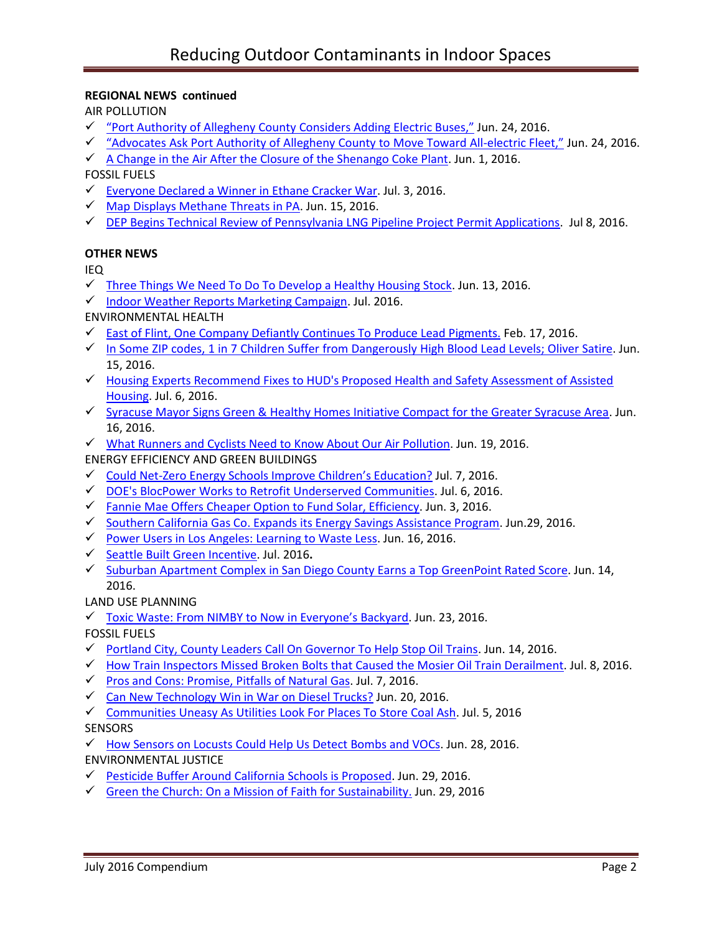# **REGIONAL NEWS continued**

AIR POLLUTION

- $\checkmark$  ["Port Authority of Allegheny County](http://triblive.com/news/allegheny/10682617-74/buses-authority-port) Considers Adding Electric Buses," Jun. 24, 2016.
- "Advocates [Ask Port Authority of Allegheny County to Move Toward All-electric Fl](http://www.pghcitypaper.com/Blogh/archives/2016/06/24/advocates-ask-port-authority-of-allegheny-county-to-move-toward-all-electric-fleet)eet," Jun. 24, 2016.
- $\checkmark$  [A Change in the Air After the Closure of the Shenango Coke Plant.](http://gasp-pgh.org/2016/06/01/a-change-in-the-air-after-the-closure-of-the-shenango-coke-plant/) Jun. 1, 2016.

# FOSSIL FUELS

- $\checkmark$  [Everyone Declared a Winner in Ethane Cracker War.](http://powersource.post-gazette.com/powersource/policy-powersource/2016/07/03/Let-s-work-together-energy-leaders-say-and-remember-that-Shell-picked-Pennsylvania/stories/201607030084) Jul. 3, 2016.
- $\checkmark$  [Map Displays Methane Threats in PA.](http://www.publicnewsservice.org/2016-06-15/environment/map-displays-methane-threats-in-pa/a52405-1) Jun. 15, 2016.
- $\checkmark$  [DEP Begins Technical Review of Pennsylvania LNG Pipeline Project Permit Applications.](http://www.ahs.dep.pa.gov/NewsRoomPublic/articleviewer.aspx?id=21004&typeid=1) Jul 8, 2016.

# **OTHER NEWS**

IEQ

- $\checkmark$  [Three Things We Need To Do To Develop a Healthy Housing Stock.](http://homeenergy.org/show/blog/id/843/nav/blog) Jun. 13, 2016.
- $\checkmark$  [Indoor Weather Reports Marketing Campaign.](https://youtu.be/6bsdIgQ_2aY) Jul. 2016.

ENVIRONMENTAL HEALTH

- $\checkmark$  [East of Flint, One Company Defiantly Continues To Produce Lead Pigments.](http://campaign.r20.constantcontact.com/render?ca=b6985d80-ccf8-4d99-8f77-2ed89c3078a0&c=a856c7e0-40d8-11e3-8645-d4ae52a45a09&ch=a9b51f60-40d8-11e3-8767-d4ae52a45a09) Feb. 17, 2016.
- In Some ZIP [codes, 1 in 7 Children Suffer from Dangerously High Blood Lead Levels;](https://www.washingtonpost.com/news/to-your-health/wp/2016/06/15/in-some-zip-codes-1-in-7-children-suffer-from-dangerously-high-blood-lead-levels/) Oliver Satire. Jun. 15, 2016.
- $\checkmark$  Housing Experts Recommend Fixes to HUD's Proposed Health and Safety Assessment of Assisted [Housing.](http://www.nchh.org/Media/NCHH-in-the-News.aspx) Jul. 6, 2016.
- √ [Syracuse Mayor Signs Green & Healthy Homes Initiative Compact for the Greater Syracuse Area.](http://www.greenandhealthyhomes.org/media/press-releases/syracuse-mayor-signs-green-healthy-homes-initiative-compact-greater-syracuse) Jun. 16, 2016.
- [What Runners and Cyclists Need to Know About Our Air Pollution.](http://www.seattletimes.com/life/wellness/what-runners-and-cyclists-need-to-know-about-our-air-pollution/) Jun. 19, 2016.
- ENERGY EFFICIENCY AND GREEN BUILDINGS
- $\checkmark$  Could Net-[Zero Energy Schools Improve Children's Education?](http://gettingtozeroforum.org/could-net-zero-energy-schools-improve-education/) Jul. 7, 2016.
- [DOE's BlocPower Works to Retrofit Underserved Communities.](http://www.usgbc.org/articles/blocpower-works-retrofit-underserved-communities) Jul. 6, 2016.
- [Fannie Mae Offers Cheaper Option to Fund Solar, Efficiency.](http://www.greentechmedia.com/articles/read/fannie-mae-offers-cheaper-option-to-fund-solar-efficiency) Jun. 3, 2016.
- $\checkmark$  [Southern California Gas Co. Expands its Energy Savings Assistance Program.](http://www.prnewswire.com/news-releases/socalgas-announces-expansion-of-energy-savings-assistance-program-300292337.html) Jun.29, 2016.
- [Power Users in Los Angeles: Learning to Waste Less.](http://newsroom.ucla.edu/stories/power-users-in-los-angeles:-learning-to-waste-less) Jun. 16, 2016.
- [Seattle Built Green Incentive.](http://www.builtgreen.net/index.cfm?/NEWS-events--classes/Latest-News/page/Learn-More-About-the-WaterSense47Built-Green-Incentive) Jul. 2016**.**
- $\checkmark$  [Suburban Apartment Complex in San Diego County](https://www.builditgreen.org/component/content/article?layout=edit&id=153) Earns a Top GreenPoint Rated Score. Jun. 14, 2016.

LAND USE PLANNING

 $\checkmark$  [Toxic Waste: From NIMBY to Now in Everyone's Backyard](https://www.healthybuilding.net/news/2016/06/23/from-nimby-to-now-in-everyones-backyard). Jun. 23, 2016.

FOSSIL FUELS

- $\checkmark$  [Portland City, County Leaders Call On Governor To Help Stop Oil Trains.](http://www.opb.org/news/article/portland-city-county-leaders-call-on-governor-to-help-stop-oil-trains/) Jun. 14, 2016.
- $\checkmark$  [How Train Inspectors Missed Broken Bolts that Caused the Mosier Oil Train Derailment.](http://www.pamplinmedia.com/sl/314314-193167-how-train-inspectors-missed-broken-bolts-that-caused-the-mosier-oil-train-derailment) Jul. 8, 2016.
- $\checkmark$  [Pros and Cons: Promise, Pitfalls of Natural Gas.](http://www.yaleclimateconnections.org/2016/07/pros-and-cons-the-promise-and-pitfalls-of-natural-gas/) Jul. 7, 2016.
- $\checkmark$  [Can New Technology Win in War on Diesel Trucks?](http://www.pe.com/articles/trucks-806236-state-diesel.html) Jun. 20, 2016.
- [Communities Uneasy As Utilities Look For Places To Store Coal Ash.](http://www.npr.org/2016/07/05/484316989/communities-uneasy-as-utilities-look-for-places-to-store-coal-ash) Jul. 5, 2016

## **SENSORS**

 [How Sensors on Locusts Could Help Us Detect Bombs and VOCs.](http://www.futurity.org/locusts-smell-sensors-1194452-2/?utm_source=Futurity+Today&utm_campaign=d6173678b0-July_5_20167_5_2016&utm_medium=email&utm_term=0_e34e8ee443-d6173678b0-206347653) Jun. 28, 2016. ENVIRONMENTAL JUSTICE

- [Pesticide Buffer Around California Schools is Proposed.](http://org2.salsalabs.com/o/6016/t/0/blastContent.jsp?email_blast_KEY=1367332) Jun. 29, 2016.
- $\checkmark$  [Green the Church: On a Mission of Faith for Sustainability.](http://earthjustice.org/blog/2016-june/green-the-church-on-a-mission-of-faith-for-sustainability) Jun. 29, 2016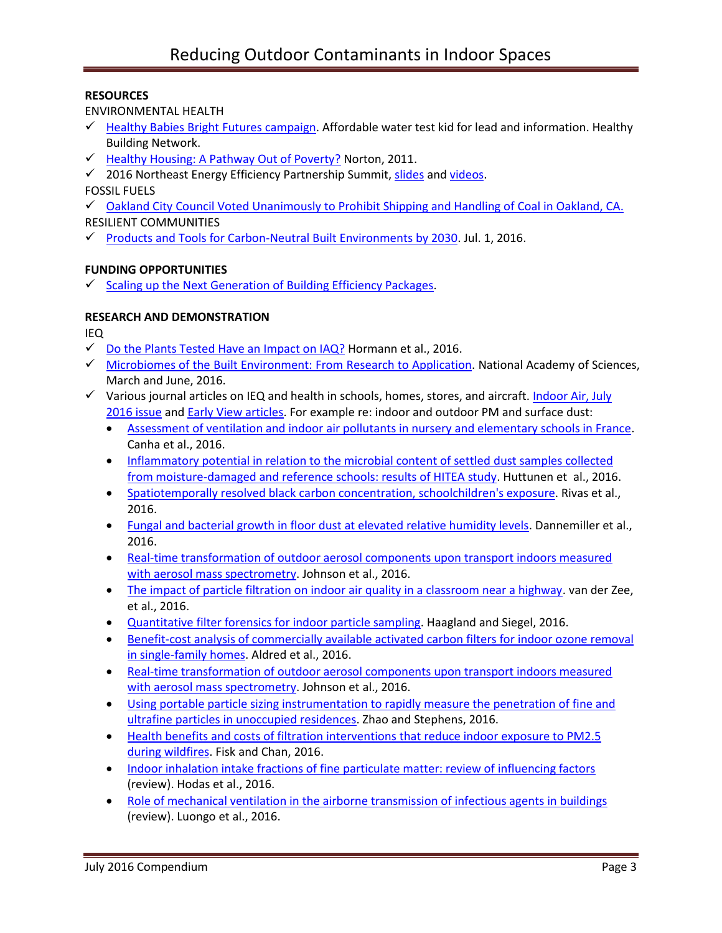# **RESOURCES**

ENVIRONMENTAL HEALTH

- $\checkmark$  [Healthy Babies Bright Futures campaign.](https://www.hbbf.org/solution) Affordable water test kid for lead and information. Healthy Building Network.
- $\checkmark$  [Healthy Housing: A Pathway Out of Poverty?](http://spotlightonpoverty.org/spotlight-exclusives/healthy-housing-a-pathway-out-of-poverty/) Norton, 2011.
- $\checkmark$  2016 Northeast Energy Efficiency Partnership Summit[, slides](http://www.neep.org/events/northeast-energy-efficiency-summit/2016-neep-summit/2016-summit-videos) an[d videos.](http://www.neep.org/events/northeast-energy-efficiency-summit/2016-neep-summit/2016-summit-videos)

FOSSIL FUELS

 $\checkmark$  [Oakland City Council Voted Unanimously to Prohibit Shipping and Handling of Coal in Oakland, CA.](http://nocoalinoakland.info/city-council-votes-7-0-to-ban-coal-in-oakland/) RESILIENT COMMUNITIES

 $\checkmark$  [Products and Tools for Carbon-Neutral Built Environments by 2030.](http://energy.gov/eere/buildings/articles/transformation-built-environment-2030) Jul. 1, 2016.

# **FUNDING OPPORTUNITIES**

 $\checkmark$  [Scaling up the Next Generation of Building Efficiency Packages.](http://energy.gov/eere/buildings/articles/funding-opportunity-coming-soon-scaling-next-generation-building-efficiency)

# **RESEARCH AND DEMONSTRATION**

IEQ

- $\checkmark$  [Do the Plants Tested Have an Impact on IAQ?](https://twitter.com/Mattc_Francis/status/750610552687394816) Hormann et al., 2016.
- $\checkmark$  [Microbiomes of the Built Environment: From Research to Application.](http://nas-sites.org/builtmicrobiome/about-the-study-2/) National Academy of Sciences, March and June, 2016.
- $\checkmark$  Various journal articles on IEQ and health in schools, homes, stores, and aircraft. Indoor Air, July [2016 issue](http://onlinelibrary.wiley.com/doi/10.1111/ina.2016.26.issue-3/issuetoc) and [Early View articles.](http://onlinelibrary.wiley.com/doi/10.1111/ina.12276/full) For example re: indoor and outdoor PM and surface dust:
	- [Assessment of ventilation and indoor air pollutants in nursery and elementary schools in France.](http://onlinelibrary.wiley.com/doi/10.1111/ina.12222/full) Canha et al., 2016.
	- [Inflammatory potential in relation to the microbial content of settled](http://onlinelibrary.wiley.com/doi/10.1111/ina.12223/full) dust samples collected [from moisture-damaged and reference schools: results of HITEA study.](http://onlinelibrary.wiley.com/doi/10.1111/ina.12223/full) Huttunen et al., 2016.
	- [Spatiotemporally resolved black carbon concentration, schoolchildren's exposure.](http://onlinelibrary.wiley.com/doi/10.1111/ina.12214/full) Rivas et al., 2016.
	- [Fungal and bacterial growth in floor dust at elevated relative humidity levels.](http://onlinelibrary.wiley.com/doi/10.1111/ina.12313/full) Dannemiller et al., 2016.
	- [Real-time transformation of outdoor aerosol components upon transport indoors measured](http://onlinelibrary.wiley.com/doi/10.1111/ina.12299/full)  [with aerosol mass spectrometry.](http://onlinelibrary.wiley.com/doi/10.1111/ina.12299/full) Johnson et al., 2016.
	- [The impact of particle filtration on indoor air quality in a classroom near a highway.](http://onlinelibrary.wiley.com/doi/10.1111/ina.12308/full) van der Zee, et al., 2016.
	- [Quantitative filter forensics for indoor particle sampling.](http://onlinelibrary.wiley.com/doi/10.1111/ina.12319/full) Haagland and Siegel, 2016.
	- [Benefit-cost analysis of commercially available activated carbon filters for indoor ozone removal](http://onlinelibrary.wiley.com/doi/10.1111/ina.12220/full)  [in single-family homes.](http://onlinelibrary.wiley.com/doi/10.1111/ina.12220/full) Aldred et al., 2016.
	- [Real-time transformation of outdoor aerosol components upon transport indoors measured](http://onlinelibrary.wiley.com/doi/10.1111/ina.12299/full)  [with aerosol mass spectrometry.](http://onlinelibrary.wiley.com/doi/10.1111/ina.12299/full) Johnson et al., 2016.
	- [Using portable particle sizing instrumentation to rapidly measure the penetration of fine and](http://onlinelibrary.wiley.com/doi/10.1111/ina.12295/full)  [ultrafine particles in unoccupied residences.](http://onlinelibrary.wiley.com/doi/10.1111/ina.12295/full) Zhao and Stephens, 2016.
	- [Health benefits and costs of filtration interventions that reduce indoor exposure to PM2.5](http://onlinelibrary.wiley.com/doi/10.1111/ina.12285/full)  [during wildfires.](http://onlinelibrary.wiley.com/doi/10.1111/ina.12285/full) Fisk and Chan, 2016.
	- [Indoor inhalation intake fractions of fine particulate matter: review of influencing factors](http://onlinelibrary.wiley.com/doi/10.1111/ina.12268/full) (review). Hodas et al., 2016.
	- [Role of mechanical ventilation in the airborne transmission of infectious agents in buildings](http://onlinelibrary.wiley.com/doi/10.1111/ina.12267/full) (review). Luongo et al., 2016.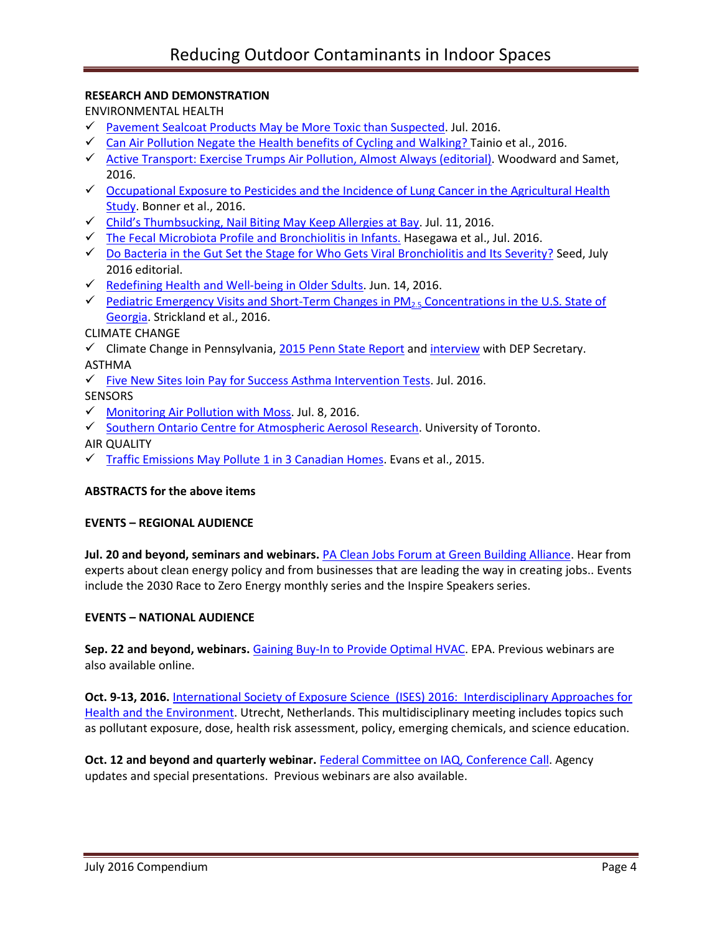# **RESEARCH AND DEMONSTRATION**

ENVIRONMENTAL HEALTH

- [Pavement Sealcoat Products May be More Toxic than Suspected.](http://www.niehs.nih.gov/news/newsletter/2016/7/papers/dert/index.htm#a3) Jul. 2016.
- $\checkmark$  [Can Air Pollution Negate the Health benefits of Cycling and Walking? T](https://www.repository.cam.ac.uk/handle/1810/253627)ainio et al., 2016.
- $\checkmark$  [Active Transport: Exercise Trumps Air Pollution, Almost Always \(editorial\).](http://www.sciencedirect.com/science/article/pii/S0091743516300354) Woodward and Samet, 2016.
- Cocupational Exposure to Pesticides and the Incidence of Lung Cancer in the Agricultural Health [Study.](http://ehp.niehs.nih.gov/ehp456/) Bonner et al., 2016.
- Child's [Thumbsucking, Nail Biting May Keep Allergies at Bay.](http://www.post-gazette.com/news/health/2016/07/11/Study-Thumbsucking-nail-biting-may-keep-allergies-at-bay/stories/201607110010?utm_source=newsletter&utm_medium=email&utm_content=most-viewed-life&utm_campaign=Headlines-Newsletter) Jul. 11, 2016.
- $\checkmark$  The Fecal [Microbiota Profile and Bronchiolitis in Infants.](http://pediatrics.aappublications.org/content/138/1/e20160218) Hasegawa et al., Jul. 2016.
- $\checkmark$  [Do Bacteria in the Gut Set the Stage for Who Gets Viral Bronchiolitis and Its Severity?](http://pediatrics.aappublications.org/content/138/1/e20161377) Seed, July 2016 editorial.
- [Redefining Health and Well-being in Older Sdults.](https://www.nih.gov/news-events/nih-research-matters/redefining-health-well-being-older-adults) Jun. 14, 2016.
- Pediatric Emergency Visits and Short-Term Changes in  $PM<sub>25</sub>$  Concentrations in the U.S. State of [Georgia.](http://ehp.niehs.nih.gov/15-09856/) Strickland et al., 2016.

# CLIMATE CHANGE

- Climate Change in Pennsylvania,  $2015$  Penn State Report and [interview](http://pecpa.org/press-releases/environmental-focus-media-center/) with DEP Secretary. ASTHMA
- $\checkmark$  [Five New Sites Ioin](http://issuu.com/ghhi/docs/ghhi_color3/3?e=10871546/37057601) Pay for Success Asthma Intervention Tests. Jul. 2016.

**SENSORS** 

- $\checkmark$  [Monitoring Air Pollution with Moss.](http://cordis.europa.eu/result/rcn/151197_en.html) Jul. 8, 2016.
- ✔ [Southern Ontario Centre for Atmospheric Aerosol Research.](http://www.socaar.utoronto.ca/) University of Toronto.
- AIR QUALITY
- $\checkmark$  [Traffic Emissions May Pollute 1 in 3 Canadian Homes.](http://media.utoronto.ca/media-releases/traffic-emissions-may-pollute-1-in-3-canadian-homes/) Evans et al., 2015.

### **ABSTRACTS for the above items**

### **EVENTS – REGIONAL AUDIENCE**

**Jul. 20 and beyond, seminars and webinars.** [PA Clean Jobs Forum at Green Building Alliance.](https://www.go-gba.org/events/pennsylvania-clean-jobs-forum/) Hear from experts about clean energy policy and from businesses that are leading the way in creating jobs.. Events include the 2030 Race to Zero Energy monthly series and the Inspire Speakers series.

### **EVENTS – NATIONAL AUDIENCE**

**Sep. 22 and beyond, webinars.** [Gaining Buy-In to Provide Optimal HVAC.](https://www.epa.gov/iaq-schools/iaq-knowledge-action-professional-training-webinar-series) EPA. Previous webinars are also available online.

**Oct. 9-13, 2016.** [International Society of Exposure Science \(ISES\) 2016: Interdisciplinary Approaches for](http://ises2016.org/)  [Health and the Environment.](http://ises2016.org/) Utrecht, Netherlands. This multidisciplinary meeting includes topics such as pollutant exposure, dose, health risk assessment, policy, emerging chemicals, and science education.

**Oct. 12 and beyond and quarterly webinar.** [Federal Committee on IAQ,](https://www.epa.gov/indoor-air-quality-iaq/federal-interagency-committee-indoor-air-quality) Conference Call. Agency updates and special presentations. Previous webinars are also available.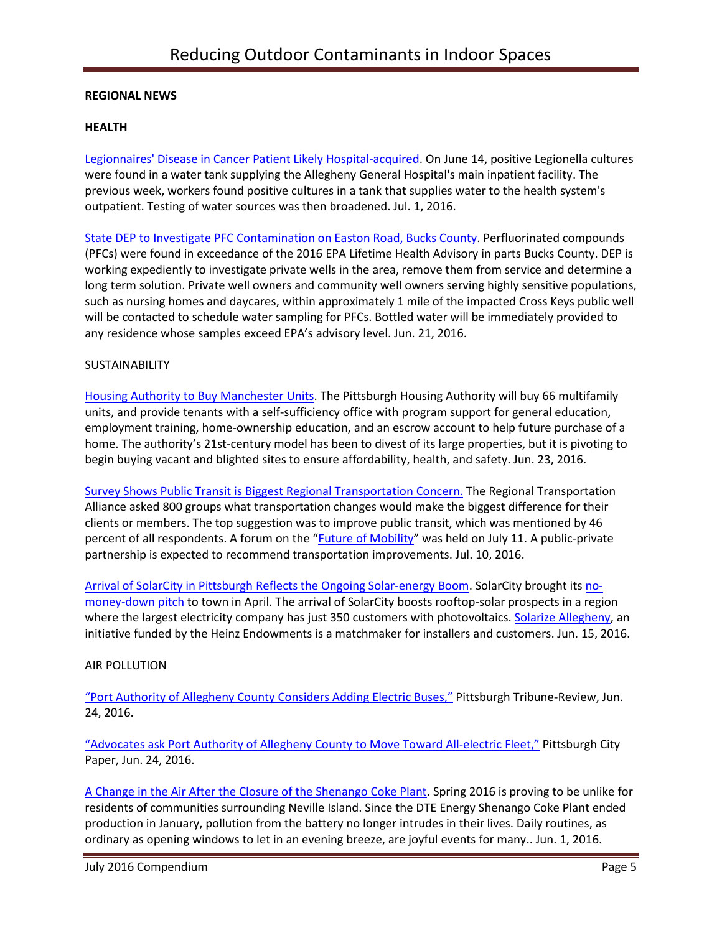## **REGIONAL NEWS**

## **HEALTH**

[Legionnaires' Disease in Cancer Patient Likely Hospital-acquired.](http://triblive.com/news/adminpage/10727506-74/hospital-patient-legionella) On June 14, positive Legionella cultures were found in a water tank supplying the Allegheny General Hospital's main inpatient facility. The previous week, workers found positive cultures in a tank that supplies water to the health system's outpatient. Testing of water sources was then broadened. Jul. 1, 2016.

[State DEP to Investigate PFC Contamination on Easton Road, Bucks County.](http://www.ahs.dep.pa.gov/NewsRoomPublic/articleviewer.aspx?id=20995&typeid=1) Perfluorinated compounds (PFCs) were found in exceedance of the 2016 EPA Lifetime Health Advisory in parts Bucks County. DEP is working expediently to investigate private wells in the area, remove them from service and determine a long term solution. Private well owners and community well owners serving highly sensitive populations, such as nursing homes and daycares, within approximately 1 mile of the impacted Cross Keys public well will be contacted to schedule water sampling for PFCs. Bottled water will be immediately provided to any residence whose samples exceed EPA's advisory level. Jun. 21, 2016.

# SUSTAINABILITY

[Housing Authority to Buy Manchester Units.](http://www.post-gazette.com/local/city/2016/06/23/Twenty-years-after-Hope-VI-debuted-as-privately-owned-public-housing-in-Manchester-the-housing-authority-has-to-step-in-to-rescue-it/stories/201606230026) The Pittsburgh Housing Authority will buy 66 multifamily units, and provide tenants with a self-sufficiency office with program support for general education, employment training, home-ownership education, and an escrow account to help future purchase of a home. The authority's 21st-century model has been to divest of its large properties, but it is pivoting to begin buying vacant and blighted sites to ensure affordability, health, and safety. Jun. 23, 2016.

[Survey Shows Public Transit is Biggest Regional Transportation Concern.](http://www.post-gazette.com/news/transportation/2016/07/10/Survey-shows-public-transit-is-biggest-regional-transportation-concern/stories/201607100128) The Regional Transportation Alliance asked 800 groups what transportation changes would make the biggest difference for their clients or members. The top suggestion was to improve public transit, which was mentioned by 46 percent of all respondents. A forum on the "[Future of Mobility](http://www.billpeduto.com/2016/07/01/what-is-the-future-of-mobility/)" was held on July 11. A public-private partnership is expected to recommend transportation improvements. Jul. 10, 2016.

[Arrival of SolarCity in Pittsburgh Reflects the Ongoing Solar-energy Boom.](http://www.pghcitypaper.com/pittsburgh/arrival-of-solarcity-in-pittsburgh-reflects-the-ongoing-solar-energy-boom/Content?oid=1929152) SolarCity brought it[s no](http://www.solarcity.com/newsroom/press/solarcity-launches-solar-service-western-pennsylvania)[money-down pitch](http://www.solarcity.com/newsroom/press/solarcity-launches-solar-service-western-pennsylvania) to town in April. The arrival of SolarCity boosts rooftop-solar prospects in a region where the largest electricity company has just 350 customers with photovoltaics. [Solarize Allegheny,](http://www.solarizeallegheny.org/) an initiative funded by the Heinz Endowments is a matchmaker for installers and customers. Jun. 15, 2016.

### AIR POLLUTION

["Port Authority of Allegheny County](http://triblive.com/news/allegheny/10682617-74/buses-authority-port) Considers Adding Electric Buses," Pittsburgh Tribune-Review, Jun. 24, 2016.

["Advocates ask Port Authority of Allegheny County to](http://www.pghcitypaper.com/Blogh/archives/2016/06/24/advocates-ask-port-authority-of-allegheny-county-to-move-toward-all-electric-fleet) Move Toward All-electric Fleet," Pittsburgh City Paper, Jun. 24, 2016.

[A Change in the Air After the Closure of the Shenango Coke Plant.](http://gasp-pgh.org/2016/06/01/a-change-in-the-air-after-the-closure-of-the-shenango-coke-plant/) Spring 2016 is proving to be unlike for residents of communities surrounding Neville Island. Since the DTE Energy Shenango Coke Plant ended production in January, pollution from the battery no longer intrudes in their lives. Daily routines, as ordinary as opening windows to let in an evening breeze, are joyful events for many.. Jun. 1, 2016.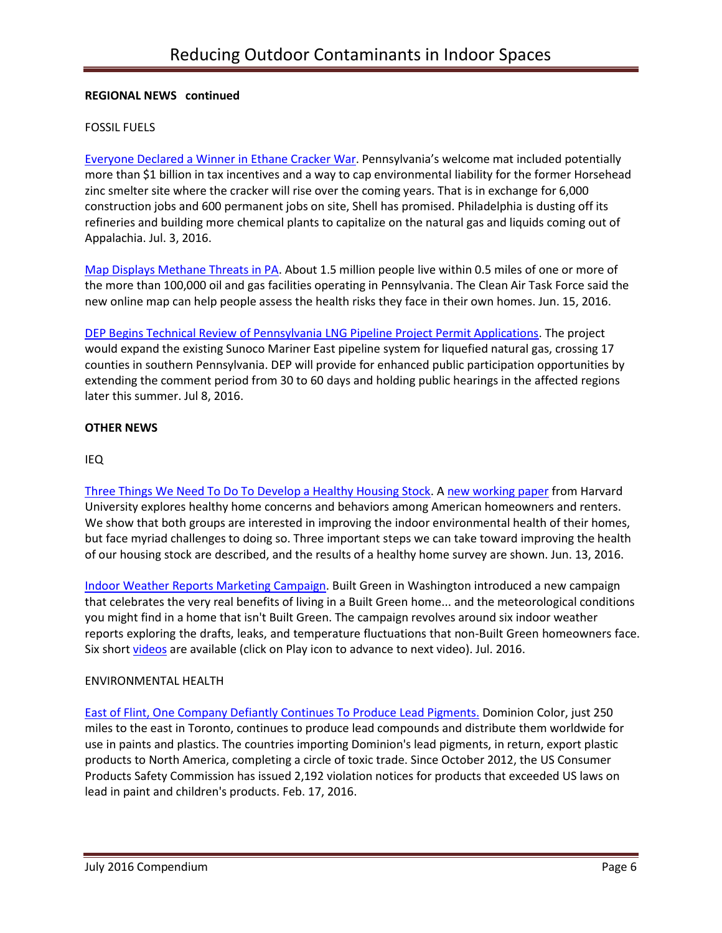# **REGIONAL NEWS continued**

## FOSSIL FUELS

[Everyone Declared a Winner in Ethane Cracker War](http://powersource.post-gazette.com/powersource/policy-powersource/2016/07/03/Let-s-work-together-energy-leaders-say-and-remember-that-Shell-picked-Pennsylvania/stories/201607030084). Pennsylvania's welcome mat included potentially more than \$1 billion in tax incentives and a way to cap environmental liability for the former Horsehead zinc smelter site where the cracker will rise over the coming years. That is in exchange for 6,000 construction jobs and 600 permanent jobs on site, Shell has promised. Philadelphia is dusting off its refineries and building more chemical plants to capitalize on the natural gas and liquids coming out of Appalachia. Jul. 3, 2016.

[Map Displays Methane Threats in PA.](http://www.publicnewsservice.org/2016-06-15/environment/map-displays-methane-threats-in-pa/a52405-1) About 1.5 million people live within 0.5 miles of one or more of the more than 100,000 oil and gas facilities operating in Pennsylvania. The Clean Air Task Force said the new online map can help people assess the health risks they face in their own homes. Jun. 15, 2016.

[DEP Begins Technical Review of Pennsylvania LNG Pipeline Project Permit Applications.](http://www.ahs.dep.pa.gov/NewsRoomPublic/articleviewer.aspx?id=21004&typeid=1) The project would expand the existing Sunoco Mariner East pipeline system for liquefied natural gas, crossing 17 counties in southern Pennsylvania. DEP will provide for enhanced public participation opportunities by extending the comment period from 30 to 60 days and holding public hearings in the affected regions later this summer. Jul 8, 2016.

### **OTHER NEWS**

# IEQ

[Three Things We Need To Do To Develop a Healthy Housing Stock.](http://homeenergy.org/show/blog/id/843/nav/blog) [A new working paper](http://www.jchs.harvard.edu/research/publications/creating-healthy-homes) from Harvard University explores healthy home concerns and behaviors among American homeowners and renters. We show that both groups are interested in improving the indoor environmental health of their homes, but face myriad challenges to doing so. Three important steps we can take toward improving the health of our housing stock are described, and the results of a healthy home survey are shown. Jun. 13, 2016.

[Indoor Weather Reports Marketing Campaign.](https://youtu.be/6bsdIgQ_2aY) Built Green in Washington introduced a new campaign that celebrates the very real benefits of living in a Built Green home... and the meteorological conditions you might find in a home that isn't Built Green. The campaign revolves around six indoor weather reports exploring the drafts, leaks, and temperature fluctuations that non-Built Green homeowners face. Six shor[t videos](https://youtu.be/6bsdIgQ_2aY) are available (click on Play icon to advance to next video). Jul. 2016.

### ENVIRONMENTAL HEALTH

[East of Flint, One Company Defiantly Continues To Produce Lead Pigments.](http://campaign.r20.constantcontact.com/render?ca=b6985d80-ccf8-4d99-8f77-2ed89c3078a0&c=a856c7e0-40d8-11e3-8645-d4ae52a45a09&ch=a9b51f60-40d8-11e3-8767-d4ae52a45a09) Dominion Color, just 250 miles to the east in Toronto, continues to produce lead compounds and distribute them worldwide for use in paints and plastics. The countries importing Dominion's lead pigments, in return, export plastic products to North America, completing a circle of toxic trade. Since October 2012, the US Consumer Products Safety Commission has issued 2,192 violation notices for products that exceeded US laws on lead in paint and children's products. Feb. 17, 2016.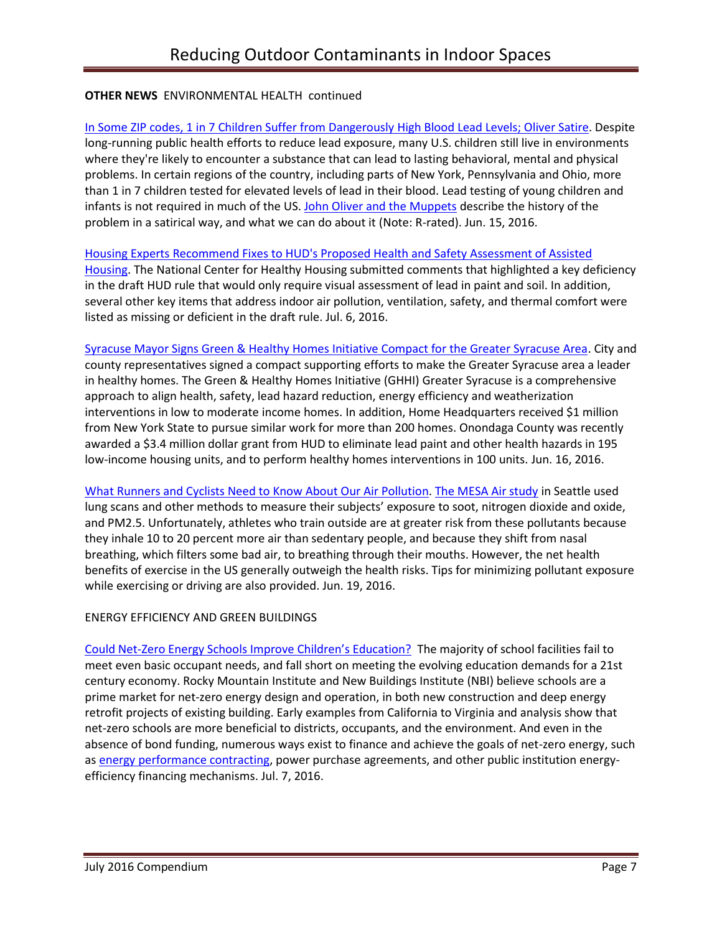# **OTHER NEWS** ENVIRONMENTAL HEALTH continued

In Some ZIP [codes, 1 in 7 Children Suffer from Dangerously High Blood Lead Levels;](https://www.washingtonpost.com/news/to-your-health/wp/2016/06/15/in-some-zip-codes-1-in-7-children-suffer-from-dangerously-high-blood-lead-levels/) Oliver Satire. Despite long-running public health efforts to reduce lead exposure, many U.S. children still live in environments where they're likely to encounter a substance that can lead to lasting behavioral, mental and physical problems. In certain regions of the country, including parts of New York, Pennsylvania and Ohio, more than 1 in 7 children tested for elevated levels of lead in their blood. Lead testing of young children and infants is not required in much of the US. John Oliver [and the Muppets](https://youtu.be/GUizvEjR-0U) describe the history of the problem in a satirical way, and what we can do about it (Note: R-rated). Jun. 15, 2016.

#### [Housing Experts Recommend Fixes to HUD's Proposed Health and Safety Assessment of Assisted](http://www.nchh.org/Media/NCHH-in-the-News.aspx)

[Housing.](http://www.nchh.org/Media/NCHH-in-the-News.aspx) The National Center for Healthy Housing submitted comments that highlighted a key deficiency in the draft HUD rule that would only require visual assessment of lead in paint and soil. In addition, several other key items that address indoor air pollution, ventilation, safety, and thermal comfort were listed as missing or deficient in the draft rule. Jul. 6, 2016.

[Syracuse Mayor Signs Green & Healthy Homes Initiative Compact for the Greater Syracuse Area.](http://www.greenandhealthyhomes.org/media/press-releases/syracuse-mayor-signs-green-healthy-homes-initiative-compact-greater-syracuse) City and county representatives signed a compact supporting efforts to make the Greater Syracuse area a leader in healthy homes. The Green & Healthy Homes Initiative (GHHI) Greater Syracuse is a comprehensive approach to align health, safety, lead hazard reduction, energy efficiency and weatherization interventions in low to moderate income homes. In addition, Home Headquarters received \$1 million from New York State to pursue similar work for more than 200 homes. Onondaga County was recently awarded a \$3.4 million dollar grant from HUD to eliminate lead paint and other health hazards in 195 low-income housing units, and to perform healthy homes interventions in 100 units. Jun. 16, 2016.

[What Runners and Cyclists Need to Know About Our Air Pollution.](http://www.seattletimes.com/life/wellness/what-runners-and-cyclists-need-to-know-about-our-air-pollution/) [The MESA Air study](http://www.seattletimes.com/seattle-news/health/uw-led-study-pinpoints-how-air-pollution-harms-your-heart/) in Seattle used lung scans and other methods to measure their subjects' exposure to soot, nitrogen dioxide and oxide, and PM2.5. Unfortunately, athletes who train outside are at greater risk from these pollutants because they inhale 10 to 20 percent more air than sedentary people, and because they shift from nasal breathing, which filters some bad air, to breathing through their mouths. However, the net health benefits of exercise in the US generally outweigh the health risks. Tips for minimizing pollutant exposure while exercising or driving are also provided. Jun. 19, 2016.

### ENERGY EFFICIENCY AND GREEN BUILDINGS

[Could Net-Zero Energy Schools](http://gettingtozeroforum.org/could-net-zero-energy-schools-improve-education/) Improve Children's Education? The majority of school facilities fail to meet even basic occupant needs, and fall short on meeting the evolving education demands for a 21st century economy. Rocky Mountain Institute and New Buildings Institute (NBI) believe schools are a prime market for net-zero energy design and operation, in both new construction and deep energy retrofit projects of existing building. Early examples from California to Virginia and analysis show that net-zero schools are more beneficial to districts, occupants, and the environment. And even in the absence of bond funding, numerous ways exist to finance and achieve the goals of net-zero energy, such as [energy performance contracting,](http://portal.hud.gov/hudportal/HUD?src=/program_offices/public_indian_housing/programs/ph/phecc/eperformance) power purchase agreements, and other public institution energyefficiency financing mechanisms. Jul. 7, 2016.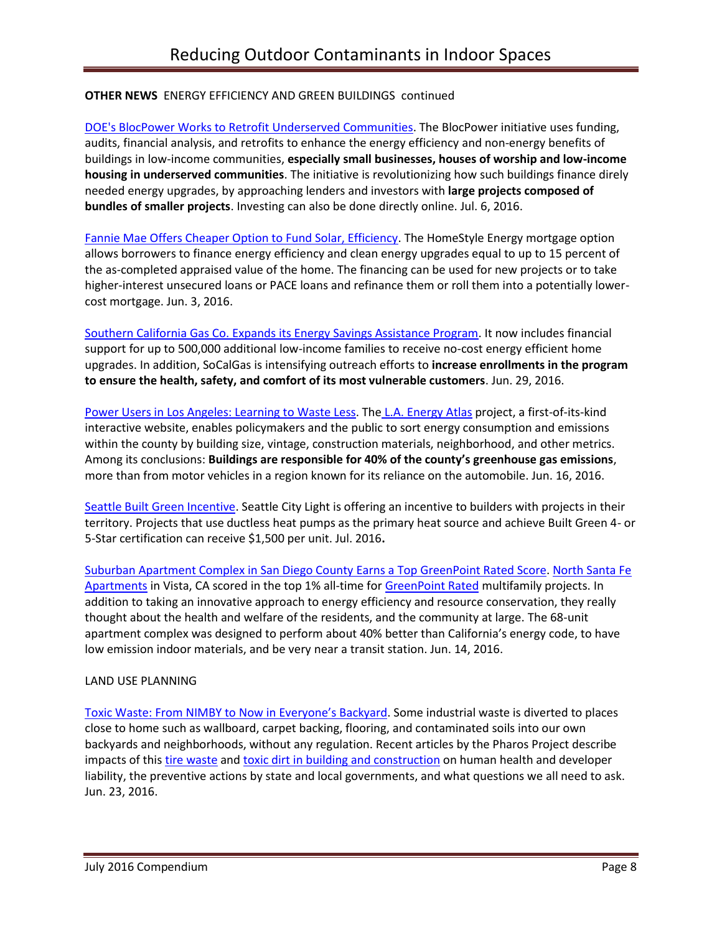# **OTHER NEWS** ENERGY EFFICIENCY AND GREEN BUILDINGS continued

[DOE's BlocPower Works to Retrofit Underserved Communities.](http://www.usgbc.org/articles/blocpower-works-retrofit-underserved-communities) The BlocPower initiative uses funding, audits, financial analysis, and retrofits to enhance the energy efficiency and non-energy benefits of buildings in low-income communities, **especially small businesses, houses of worship and low-income housing in underserved communities**. The initiative is revolutionizing how such buildings finance direly needed energy upgrades, by approaching lenders and investors with **large projects composed of bundles of smaller projects**. Investing can also be done directly online. Jul. 6, 2016.

[Fannie Mae Offers Cheaper Option to Fund Solar, Efficiency.](http://www.greentechmedia.com/articles/read/fannie-mae-offers-cheaper-option-to-fund-solar-efficiency) The HomeStyle Energy mortgage option allows borrowers to finance energy efficiency and clean energy upgrades equal to up to 15 percent of the as-completed appraised value of the home. The financing can be used for new projects or to take higher-interest unsecured loans or PACE loans and refinance them or roll them into a potentially lowercost mortgage. Jun. 3, 2016.

[Southern California Gas Co. Expands its Energy Savings Assistance Program.](http://www.prnewswire.com/news-releases/socalgas-announces-expansion-of-energy-savings-assistance-program-300292337.html) It now includes financial support for up to 500,000 additional low-income families to receive no-cost energy efficient home upgrades. In addition, SoCalGas is intensifying outreach efforts to **increase enrollments in the program to ensure the health, safety, and comfort of its most vulnerable customers**. Jun. 29, 2016.

[Power Users in Los Angeles: Learning to Waste Less.](http://newsroom.ucla.edu/stories/power-users-in-los-angeles:-learning-to-waste-less) The [L.A. Energy Atlas](http://www.energyatlas.ucla.edu/) project, a first-of-its-kind interactive website, enables policymakers and the public to sort energy consumption and emissions within the county by building size, vintage, construction materials, neighborhood, and other metrics. Among its conclusions: **Buildings are responsible for 40% of the county's greenhouse gas emissions**, more than from motor vehicles in a region known for its reliance on the automobile. Jun. 16, 2016.

[Seattle Built Green Incentive.](http://www.builtgreen.net/index.cfm?/NEWS-events--classes/Latest-News/page/Learn-More-About-the-WaterSense47Built-Green-Incentive) Seattle City Light is offering an incentive to builders with projects in their territory. Projects that use ductless heat pumps as the primary heat source and achieve Built Green 4- or 5-Star certification can receive \$1,500 per unit. Jul. 2016**.**

[Suburban Apartment Complex in San Diego County](https://www.builditgreen.org/component/content/article?layout=edit&id=153) Earns a Top GreenPoint Rated Score[. North Santa Fe](http://chworks.org/real-estate-development/featured-developments/north-sante-fe/)  [Apartments](http://chworks.org/real-estate-development/featured-developments/north-sante-fe/) in Vista, CA scored in the top 1% all-time fo[r GreenPoint Rated](http://greenpointrated.com/) multifamily projects. In addition to taking an innovative approach to energy efficiency and resource conservation, they really thought about the health and welfare of the residents, and the community at large. The 68-unit apartment complex was designed to perform about 40% better than California's energy code, to have low emission indoor materials, and be very near a transit station. Jun. 14, 2016.

# LAND USE PLANNING

Toxic Waste: F[rom NIMBY to Now in Everyone's Backyard](https://www.healthybuilding.net/news/2016/06/23/from-nimby-to-now-in-everyones-backyard). Some industrial waste is diverted to places close to home such as wallboard, carpet backing, flooring, and contaminated soils into our own backyards and neighborhoods, without any regulation. Recent articles by the Pharos Project describe impacts of this [tire waste](http://pharosproject.net/blog/show/222/playing-on-tire-waste) and [toxic dirt in building and construction](http://pharosproject.net/blog/show/221/know-the-dirt) on human health and developer liability, the preventive actions by state and local governments, and what questions we all need to ask. Jun. 23, 2016.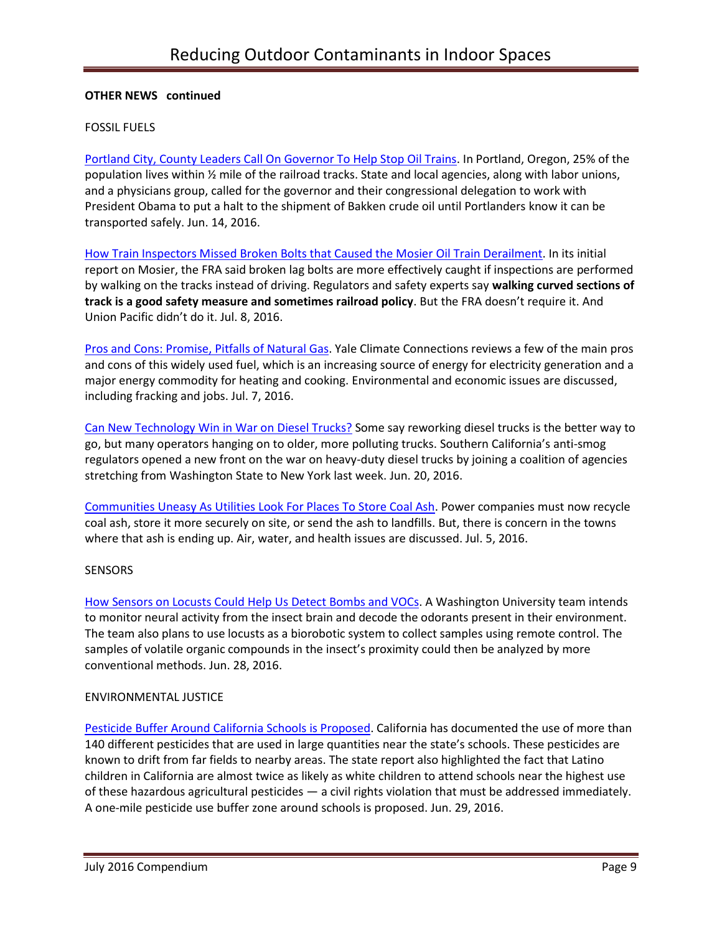### **OTHER NEWS continued**

## FOSSIL FUELS

[Portland City, County Leaders Call On Governor To Help Stop Oil Trains.](http://www.opb.org/news/article/portland-city-county-leaders-call-on-governor-to-help-stop-oil-trains/) In Portland, Oregon, 25% of the population lives within ½ mile of the railroad tracks. State and local agencies, along with labor unions, and a physicians group, called for the governor and their congressional delegation to work with President Obama to put a halt to the shipment of Bakken crude oil until Portlanders know it can be transported safely. Jun. 14, 2016.

[How Train Inspectors Missed Broken Bolts that Caused the Mosier Oil Train Derailment.](http://www.pamplinmedia.com/sl/314314-193167-how-train-inspectors-missed-broken-bolts-that-caused-the-mosier-oil-train-derailment) In its initial report on Mosier, the FRA said broken lag bolts are more effectively caught if inspections are performed by walking on the tracks instead of driving. Regulators and safety experts say **walking curved sections of track is a good safety measure and sometimes railroad policy**. But the FRA doesn't require it. And Union Pacific didn't do it. Jul. 8, 2016.

[Pros and Cons: Promise, Pitfalls of Natural Gas.](http://www.yaleclimateconnections.org/2016/07/pros-and-cons-the-promise-and-pitfalls-of-natural-gas/) Yale Climate Connections reviews a few of the main pros and cons of this widely used fuel, which is an increasing source of energy for electricity generation and a major energy commodity for heating and cooking. Environmental and economic issues are discussed, including fracking and jobs. Jul. 7, 2016.

[Can New Technology Win in War on Diesel Trucks?](http://www.pe.com/articles/trucks-806236-state-diesel.html) Some say reworking diesel trucks is the better way to go, but many operators hanging on to older, more polluting trucks. Southern California's anti-smog regulators opened a new front on the war on heavy-duty diesel trucks by joining a coalition of agencies stretching from Washington State to New York last week. Jun. 20, 2016.

[Communities Uneasy As Utilities Look For Places To Store Coal Ash.](http://www.npr.org/2016/07/05/484316989/communities-uneasy-as-utilities-look-for-places-to-store-coal-ash) Power companies must now recycle coal ash, store it more securely on site, or send the ash to landfills. But, there is concern in the towns where that ash is ending up. Air, water, and health issues are discussed. Jul. 5, 2016.

### **SENSORS**

[How Sensors on Locusts Could Help Us Detect Bombs and VOCs.](http://www.futurity.org/locusts-smell-sensors-1194452-2/?utm_source=Futurity+Today&utm_campaign=d6173678b0-July_5_20167_5_2016&utm_medium=email&utm_term=0_e34e8ee443-d6173678b0-206347653) A Washington University team intends to monitor neural activity from the insect brain and decode the odorants present in their environment. The team also plans to use locusts as a biorobotic system to collect samples using remote control. The samples of volatile organic compounds in the insect's proximity could then be analyzed by more conventional methods. Jun. 28, 2016.

### ENVIRONMENTAL JUSTICE

[Pesticide Buffer Around California Schools is Proposed.](http://org2.salsalabs.com/o/6016/t/0/blastContent.jsp?email_blast_KEY=1367332) California has documented the use of more than 140 different pesticides that are used in large quantities near the state's schools. These pesticides are known to drift from far fields to nearby areas. The state report also highlighted the fact that Latino children in California are almost twice as likely as white children to attend schools near the highest use of these hazardous agricultural pesticides — a civil rights violation that must be addressed immediately. A one-mile pesticide use buffer zone around schools is proposed. Jun. 29, 2016.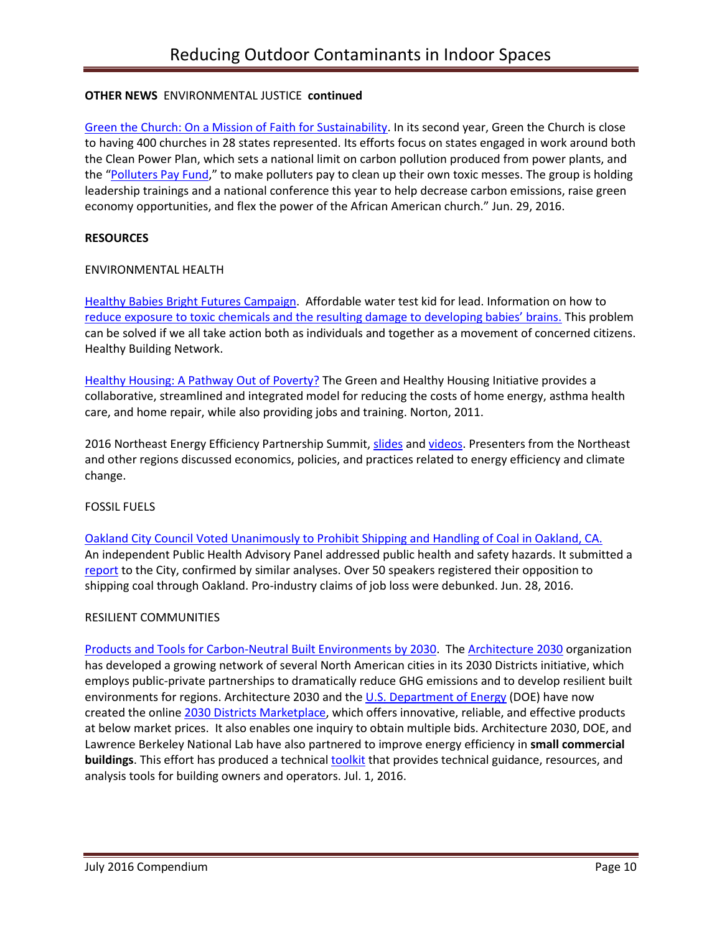# **OTHER NEWS** ENVIRONMENTAL JUSTICE **continued**

[Green the Church: On a Mission of Faith for Sustainability.](http://earthjustice.org/blog/2016-june/green-the-church-on-a-mission-of-faith-for-sustainability) In its second year, Green the Church is close to having 400 churches in 28 states represented. Its efforts focus on states engaged in work around both the Clean Power Plan, which sets a national limit on carbon pollution produced from power plants, and the "[Polluters Pay Fund](http://thinkprogress.org/climate/2016/04/21/3771617/polluters-pay-campaign/)," to make polluters pay to clean up their own toxic messes. The group is holding leadership trainings and a national conference this year to help decrease carbon emissions, raise green economy opportunities, and flex the power of the African American church." Jun. 29, 2016.

### **RESOURCES**

### ENVIRONMENTAL HEALTH

[Healthy Babies Bright Futures Campaign.](https://www.hbbf.org/solution) Affordable water test kid for lead. Information on how to [reduce exposure to toxic chemicals and the resulting damage to developing babies' brains.](https://www.hbbf.org/solution#other-toxic-chemicals) This problem can be solved if we all take action both as individuals and together as a movement of concerned citizens. Healthy Building Network.

[Healthy Housing: A Pathway Out of Poverty?](http://spotlightonpoverty.org/spotlight-exclusives/healthy-housing-a-pathway-out-of-poverty/) The Green and Healthy Housing Initiative provides a collaborative, streamlined and integrated model for reducing the costs of home energy, asthma health care, and home repair, while also providing jobs and training. Norton, 2011.

2016 Northeast Energy Efficiency Partnership Summit[, slides](http://www.neep.org/events/northeast-energy-efficiency-summit/2016-neep-summit/2016-summit-videos) an[d videos.](http://www.neep.org/events/northeast-energy-efficiency-summit/2016-neep-summit/2016-summit-videos) Presenters from the Northeast and other regions discussed economics, policies, and practices related to energy efficiency and climate change.

### FOSSIL FUELS

[Oakland City Council Voted Unanimously to Prohibit Shipping and Handling of Coal in Oakland, CA.](http://nocoalinoakland.info/city-council-votes-7-0-to-ban-coal-in-oakland/)  An independent Public Health Advisory Panel addressed public health and safety hazards. It submitted a [report](http://www2.oaklandnet.com/government/o/CityAdministration/d/NeighborhoodInvestment/OAK059227) to the City, confirmed by similar analyses. Over 50 speakers registered their opposition to shipping coal through Oakland. Pro-industry claims of job loss were debunked. Jun. 28, 2016.

### RESILIENT COMMUNITIES

[Products and Tools for Carbon-Neutral](http://energy.gov/eere/buildings/articles/transformation-built-environment-2030) Built Environments by 2030. The [Architecture 2030](http://architecture2030.org/about/) organization has developed a growing network of several North American cities in its 2030 Districts initiative, which employs public-private partnerships to dramatically reduce GHG emissions and to develop resilient built environments for regions. Architecture 2030 and the [U.S. Department of Energy](http://energy.gov/eere/buildings/commercial-buildings-integration) (DOE) have now created the online [2030 Districts Marketplace,](http://energy.gov/exit?url=http%3A//www.2030districts.org/marketplace) which offers innovative, reliable, and effective products at below market prices. It also enables one inquiry to obtain multiple bids. Architecture 2030, DOE, and Lawrence Berkeley National Lab have also partnered to improve energy efficiency in **small commercial buildings**. This effort has produced a technical [toolkit](http://energy.gov/exit?url=http%3A//www.2030districts.org/toolkit/small-commercial) that provides technical guidance, resources, and analysis tools for building owners and operators. Jul. 1, 2016.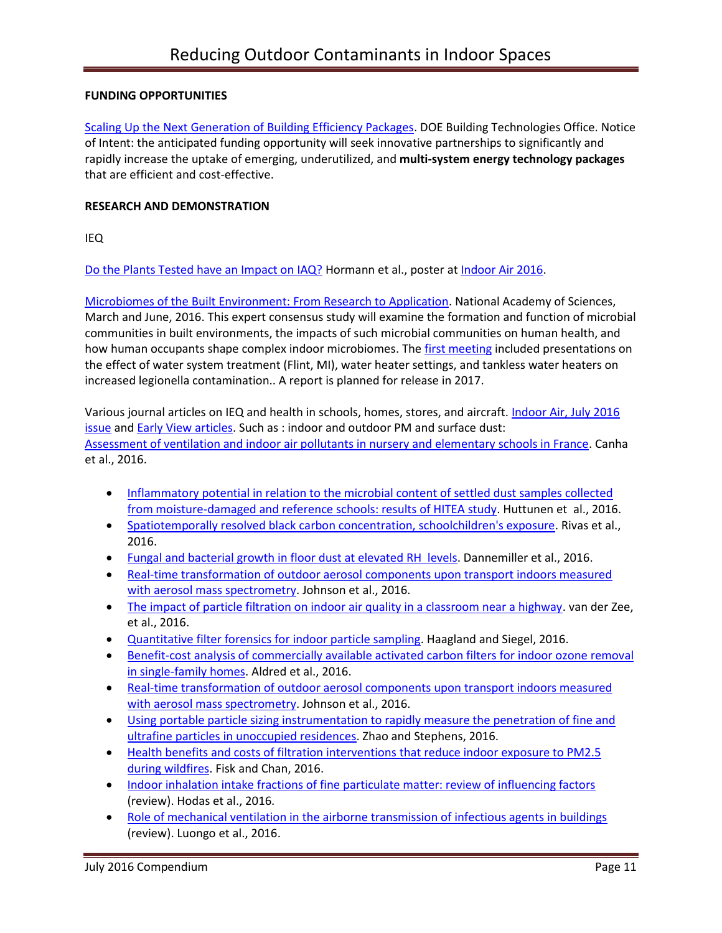# **FUNDING OPPORTUNITIES**

[Scaling Up the Next Generation of Building Efficiency Packages.](http://energy.gov/eere/buildings/articles/funding-opportunity-coming-soon-scaling-next-generation-building-efficiency) DOE Building Technologies Office. Notice of Intent: the anticipated funding opportunity will seek innovative partnerships to significantly and rapidly increase the uptake of emerging, underutilized, and **multi-system energy technology packages** that are efficient and cost-effective.

## **RESEARCH AND DEMONSTRATION**

IEQ

[Do the Plants Tested have an Impact on IAQ?](https://twitter.com/Mattc_Francis/status/750610552687394816) Hormann et al., poster at [Indoor Air 2016.](http://www.indoorair2016.org/program/#sessions)

[Microbiomes of the Built Environment: From Research to Application.](http://nas-sites.org/builtmicrobiome/about-the-study-2/) National Academy of Sciences, March and June, 2016. This expert consensus study will examine the formation and function of microbial communities in built environments, the impacts of such microbial communities on human health, and how human occupants shape complex indoor microbiomes. The [first meeting](http://nas-sites.org/builtmicrobiome/meetings/) included presentations on the effect of water system treatment (Flint, MI), water heater settings, and tankless water heaters on increased legionella contamination.. A report is planned for release in 2017.

Various journal articles on IEQ and health in schools, homes, stores, and aircraft[. Indoor Air, July 2016](http://onlinelibrary.wiley.com/doi/10.1111/ina.2016.26.issue-3/issuetoc) [issue](http://onlinelibrary.wiley.com/doi/10.1111/ina.2016.26.issue-3/issuetoc) and [Early View articles.](http://onlinelibrary.wiley.com/doi/10.1111/ina.12276/full) Such as : indoor and outdoor PM and surface dust: [Assessment of ventilation and indoor air pollutants in nursery and elementary schools in France.](http://onlinelibrary.wiley.com/doi/10.1111/ina.12222/full) Canha et al., 2016.

- Inflammatory potential in relation to the microbial content of settled dust samples collected [from moisture-damaged and reference schools: results of HITEA study.](http://onlinelibrary.wiley.com/doi/10.1111/ina.12223/full) Huttunen et al., 2016.
- [Spatiotemporally resolved black carbon concentration, schoolchildren's exposure.](http://onlinelibrary.wiley.com/doi/10.1111/ina.12214/full) Rivas et al., 2016.
- [Fungal and bacterial growth in floor dust at elevated RH levels.](http://onlinelibrary.wiley.com/doi/10.1111/ina.12313/full) Dannemiller et al., 2016.
- [Real-time transformation of outdoor aerosol components upon transport indoors measured](http://onlinelibrary.wiley.com/doi/10.1111/ina.12299/full)  [with aerosol mass spectrometry.](http://onlinelibrary.wiley.com/doi/10.1111/ina.12299/full) Johnson et al., 2016.
- [The impact of particle filtration on indoor air quality in a classroom near a highway.](http://onlinelibrary.wiley.com/doi/10.1111/ina.12308/full) van der Zee, et al., 2016.
- [Quantitative filter forensics for indoor particle sampling.](http://onlinelibrary.wiley.com/doi/10.1111/ina.12319/full) Haagland and Siegel, 2016.
- [Benefit-cost analysis of commercially available activated carbon filters for indoor ozone removal](http://onlinelibrary.wiley.com/doi/10.1111/ina.12220/full)  [in single-family homes.](http://onlinelibrary.wiley.com/doi/10.1111/ina.12220/full) Aldred et al., 2016.
- [Real-time transformation of outdoor aerosol components upon transport indoors measured](http://onlinelibrary.wiley.com/doi/10.1111/ina.12299/full)  [with aerosol mass spectrometry.](http://onlinelibrary.wiley.com/doi/10.1111/ina.12299/full) Johnson et al., 2016.
- [Using portable particle sizing instrumentation to rapidly measure the penetration of fine and](http://onlinelibrary.wiley.com/doi/10.1111/ina.12295/full)  ultrafine [particles in unoccupied residences.](http://onlinelibrary.wiley.com/doi/10.1111/ina.12295/full) Zhao and Stephens, 2016.
- Health benefits and costs of filtration interventions that reduce indoor exposure to PM2.5 [during wildfires.](http://onlinelibrary.wiley.com/doi/10.1111/ina.12285/full) Fisk and Chan, 2016.
- [Indoor inhalation intake fractions of fine particulate matter: review of influencing factors](http://onlinelibrary.wiley.com/doi/10.1111/ina.12268/full) (review). Hodas et al., 2016.
- [Role of mechanical ventilation in the airborne transmission of infectious agents in buildings](http://onlinelibrary.wiley.com/doi/10.1111/ina.12267/full) (review). Luongo et al., 2016.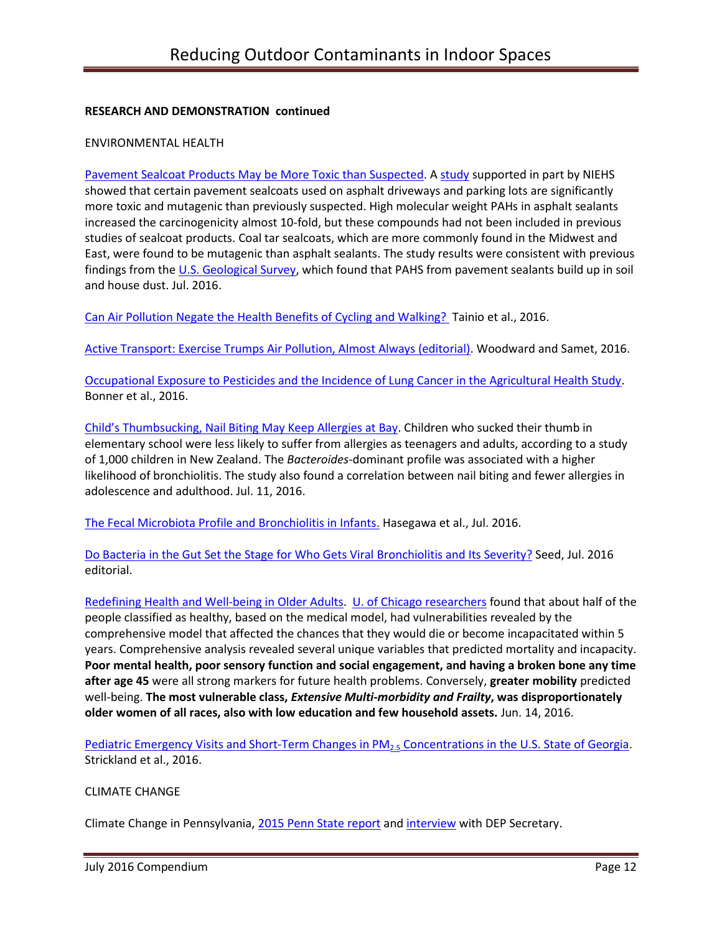### **RESEARCH AND DEMONSTRATION continued**

#### ENVIRONMENTAL HEALTH

[Pavement Sealcoat Products May be More Toxic than Suspected.](http://www.niehs.nih.gov/news/newsletter/2016/7/papers/dert/index.htm#a3) [A study](http://pubs.acs.org/doi/abs/10.1021/acs.estlett.6b00116) supported in part by NIEHS showed that certain pavement sealcoats used on asphalt driveways and parking lots are significantly more toxic and mutagenic than previously suspected. High molecular weight PAHs in asphalt sealants increased the carcinogenicity almost 10-fold, but these compounds had not been included in previous studies of sealcoat products. Coal tar sealcoats, which are more commonly found in the Midwest and East, were found to be mutagenic than asphalt sealants. The study results were consistent with previous findings from th[e U.S. Geological Survey,](https://www2.usgs.gov/blogs/features/usgs_top_story/youre-standing-on-it-health-risks-of-coal-tar-pavement-sealcoat/) which found that PAHS from pavement sealants build up in soil and house dust. Jul. 2016.

[Can Air Pollution Negate the Health Benefits of Cycling and Walking?](https://www.repository.cam.ac.uk/handle/1810/253627) Tainio et al., 2016.

[Active Transport: Exercise Trumps Air Pollution, Almost Always \(editorial\).](http://www.sciencedirect.com/science/article/pii/S0091743516300354) Woodward and Samet, 2016.

[Occupational Exposure to Pesticides and the Incidence of Lung Cancer in the Agricultural Health Study.](http://ehp.niehs.nih.gov/ehp456/) Bonner et al., 2016.

Child's [Thumbsucking, Nail Biting May Keep Allergies at Bay.](http://www.post-gazette.com/news/health/2016/07/11/Study-Thumbsucking-nail-biting-may-keep-allergies-at-bay/stories/201607110010?utm_source=newsletter&utm_medium=email&utm_content=most-viewed-life&utm_campaign=Headlines-Newsletter) Children who sucked their thumb in elementary school were less likely to suffer from allergies as teenagers and adults, according to a study of 1,000 children in New Zealand. The *Bacteroides*-dominant profile was associated with a higher likelihood of bronchiolitis. The study also found a correlation between nail biting and fewer allergies in adolescence and adulthood. Jul. 11, 2016.

[The Fecal Microbiota Profile and Bronchiolitis in Infants.](http://pediatrics.aappublications.org/content/138/1/e20160218) Hasegawa et al., Jul. 2016.

[Do Bacteria in the Gut Set the Stage for Who Gets Viral Bronchiolitis and Its Severity?](http://pediatrics.aappublications.org/content/138/1/e20161377) Seed, Jul. 2016 editorial.

[Redefining Health and Well-being in Older Adults.](https://www.nih.gov/news-events/nih-research-matters/redefining-health-well-being-older-adults) [U. of Chicago researchers](http://www.ncbi.nlm.nih.gov/pubmed/27185911) found that about half of the people classified as healthy, based on the medical model, had vulnerabilities revealed by the comprehensive model that affected the chances that they would die or become incapacitated within 5 years. Comprehensive analysis revealed several unique variables that predicted mortality and incapacity. **Poor mental health, poor sensory function and social engagement, and having a broken bone any time after age 45** were all strong markers for future health problems. Conversely, **greater mobility** predicted well-being. **The most vulnerable class,** *Extensive Multi-morbidity and Frailty***, was disproportionately older women of all races, also with low education and few household assets.** Jun. 14, 2016.

[Pediatric Emergency Visits and Short-Term Changes in PM](http://ehp.niehs.nih.gov/15-09856/)<sub>2.5</sub> Concentrations in the U.S. State of Georgia. Strickland et al., 2016.

### CLIMATE CHANGE

Climate Change in Pennsylvania, [2015 Penn State report](http://news.psu.edu/story/369533/2015/09/14/research/penn-state-researchers-assess-impacts-changing-weather-pennsylvania) an[d interview](http://pecpa.org/press-releases/environmental-focus-media-center/) with DEP Secretary.